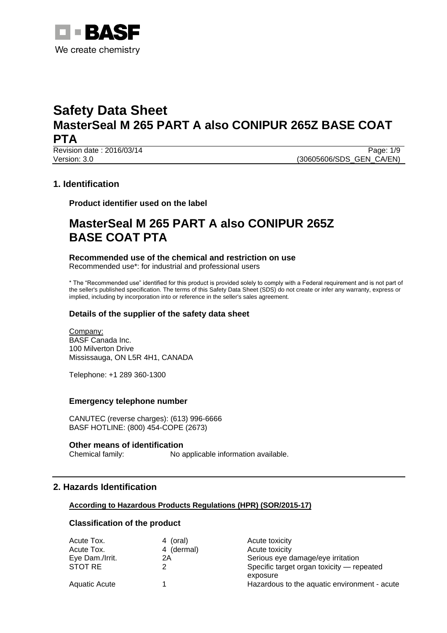

Revision date : 2016/03/14 Page: 1/9 Version: 3.0 **(30605606/SDS\_GEN\_CA/EN)** 

# **1. Identification**

**Product identifier used on the label**

# **MasterSeal M 265 PART A also CONIPUR 265Z BASE COAT PTA**

### **Recommended use of the chemical and restriction on use**

Recommended use\*: for industrial and professional users

\* The "Recommended use" identified for this product is provided solely to comply with a Federal requirement and is not part of the seller's published specification. The terms of this Safety Data Sheet (SDS) do not create or infer any warranty, express or implied, including by incorporation into or reference in the seller's sales agreement.

# **Details of the supplier of the safety data sheet**

Company: BASF Canada Inc. 100 Milverton Drive Mississauga, ON L5R 4H1, CANADA

Telephone: +1 289 360-1300

### **Emergency telephone number**

CANUTEC (reverse charges): (613) 996-6666 BASF HOTLINE: (800) 454-COPE (2673)

### **Other means of identification**

Chemical family: No applicable information available.

# **2. Hazards Identification**

### **According to Hazardous Products Regulations (HPR) (SOR/2015-17)**

### **Classification of the product**

| Acute Tox.           | 4 (oral)   | Acute toxicity                               |
|----------------------|------------|----------------------------------------------|
| Acute Tox.           | 4 (dermal) | Acute toxicity                               |
| Eye Dam./Irrit.      | 2A         | Serious eye damage/eye irritation            |
| STOT RE              |            | Specific target organ toxicity — repeated    |
|                      |            | exposure                                     |
| <b>Aquatic Acute</b> |            | Hazardous to the aquatic environment - acute |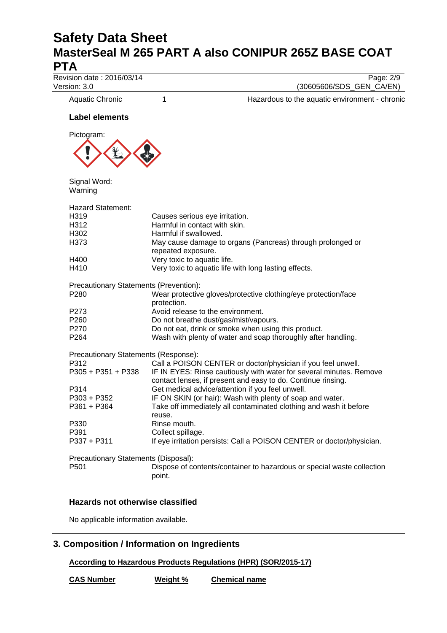Revision date : 2016/03/14 Page: 2/9 Version: 3.0 (30605606/SDS\_GEN\_CA/EN) Aquatic Chronic 1 1 1 Hazardous to the aquatic environment - chronic **Label elements** Pictogram: Signal Word: Warning Hazard Statement: H319 Causes serious eye irritation. H312 Harmful in contact with skin. H302 Harmful if swallowed. H373 May cause damage to organs (Pancreas) through prolonged or repeated exposure. H400 Very toxic to aquatic life. H410 Very toxic to aquatic life with long lasting effects. Precautionary Statements (Prevention): P280 Wear protective gloves/protective clothing/eye protection/face protection. P273 Avoid release to the environment.<br>P260 Do not breathe dust/gas/mist/vapo Do not breathe dust/gas/mist/vapours. P270 Do not eat, drink or smoke when using this product. P264 Wash with plenty of water and soap thoroughly after handling. Precautionary Statements (Response): P312 Call a POISON CENTER or doctor/physician if you feel unwell. P305 + P351 + P338 IF IN EYES: Rinse cautiously with water for several minutes. Remove contact lenses, if present and easy to do. Continue rinsing. P314 Get medical advice/attention if you feel unwell. P303 + P352 IF ON SKIN (or hair): Wash with plenty of soap and water. P361 + P364 Take off immediately all contaminated clothing and wash it before reuse. P330 Rinse mouth. P391 Collect spillage. P337 + P311 If eye irritation persists: Call a POISON CENTER or doctor/physician. Precautionary Statements (Disposal):

P501 Dispose of contents/container to hazardous or special waste collection

### **Hazards not otherwise classified**

No applicable information available.

# **3. Composition / Information on Ingredients**

**According to Hazardous Products Regulations (HPR) (SOR/2015-17)**

**CAS Number Weight % Chemical name**

point.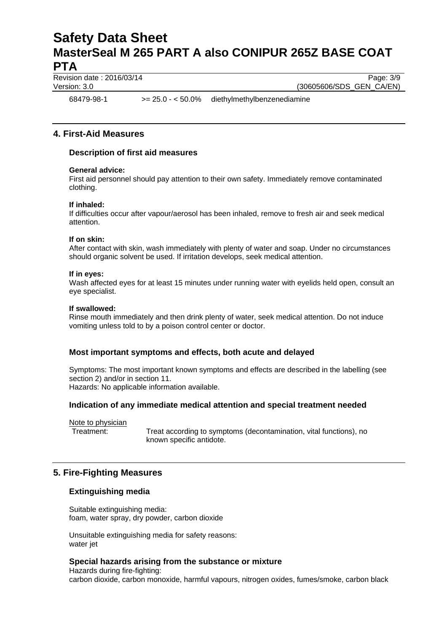Revision date : 2016/03/14 Page: 3/9

Version: 3.0 **(30605606/SDS\_GEN\_CA/EN)** 

68479-98-1 >= 25.0 - < 50.0% diethylmethylbenzenediamine

## **4. First-Aid Measures**

### **Description of first aid measures**

### **General advice:**

First aid personnel should pay attention to their own safety. Immediately remove contaminated clothing.

### **If inhaled:**

If difficulties occur after vapour/aerosol has been inhaled, remove to fresh air and seek medical attention.

#### **If on skin:**

After contact with skin, wash immediately with plenty of water and soap. Under no circumstances should organic solvent be used. If irritation develops, seek medical attention.

#### **If in eyes:**

Wash affected eyes for at least 15 minutes under running water with eyelids held open, consult an eye specialist.

### **If swallowed:**

Rinse mouth immediately and then drink plenty of water, seek medical attention. Do not induce vomiting unless told to by a poison control center or doctor.

### **Most important symptoms and effects, both acute and delayed**

Symptoms: The most important known symptoms and effects are described in the labelling (see section 2) and/or in section 11.

Hazards: No applicable information available.

### **Indication of any immediate medical attention and special treatment needed**

Note to physician

Treatment: Treat according to symptoms (decontamination, vital functions), no known specific antidote.

### **5. Fire-Fighting Measures**

### **Extinguishing media**

Suitable extinguishing media: foam, water spray, dry powder, carbon dioxide

Unsuitable extinguishing media for safety reasons: water jet

### **Special hazards arising from the substance or mixture**

Hazards during fire-fighting: carbon dioxide, carbon monoxide, harmful vapours, nitrogen oxides, fumes/smoke, carbon black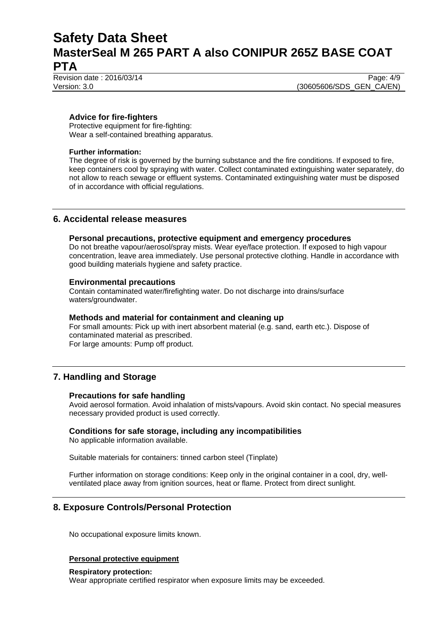Revision date : 2016/03/14 Page: 4/9

Version: 3.0 **(30605606/SDS\_GEN\_CA/EN)** 

### **Advice for fire-fighters**

Protective equipment for fire-fighting: Wear a self-contained breathing apparatus.

### **Further information:**

The degree of risk is governed by the burning substance and the fire conditions. If exposed to fire, keep containers cool by spraying with water. Collect contaminated extinguishing water separately, do not allow to reach sewage or effluent systems. Contaminated extinguishing water must be disposed of in accordance with official regulations.

## **6. Accidental release measures**

### **Personal precautions, protective equipment and emergency procedures**

Do not breathe vapour/aerosol/spray mists. Wear eye/face protection. If exposed to high vapour concentration, leave area immediately. Use personal protective clothing. Handle in accordance with good building materials hygiene and safety practice.

### **Environmental precautions**

Contain contaminated water/firefighting water. Do not discharge into drains/surface waters/groundwater.

### **Methods and material for containment and cleaning up**

For small amounts: Pick up with inert absorbent material (e.g. sand, earth etc.). Dispose of contaminated material as prescribed. For large amounts: Pump off product.

# **7. Handling and Storage**

### **Precautions for safe handling**

Avoid aerosol formation. Avoid inhalation of mists/vapours. Avoid skin contact. No special measures necessary provided product is used correctly.

### **Conditions for safe storage, including any incompatibilities**

No applicable information available.

Suitable materials for containers: tinned carbon steel (Tinplate)

Further information on storage conditions: Keep only in the original container in a cool, dry, wellventilated place away from ignition sources, heat or flame. Protect from direct sunlight.

# **8. Exposure Controls/Personal Protection**

No occupational exposure limits known.

### **Personal protective equipment**

#### **Respiratory protection:**

Wear appropriate certified respirator when exposure limits may be exceeded.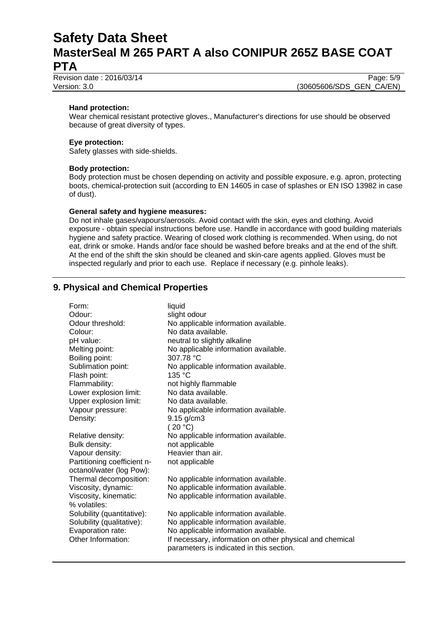Revision date : 2016/03/14 Page: 5/9

Version: 3.0 (30605606/SDS\_GEN\_CA/EN)

### **Hand protection:**

Wear chemical resistant protective gloves., Manufacturer's directions for use should be observed because of great diversity of types.

### **Eye protection:**

Safety glasses with side-shields.

### **Body protection:**

Body protection must be chosen depending on activity and possible exposure, e.g. apron, protecting boots, chemical-protection suit (according to EN 14605 in case of splashes or EN ISO 13982 in case of dust).

### **General safety and hygiene measures:**

Do not inhale gases/vapours/aerosols. Avoid contact with the skin, eyes and clothing. Avoid exposure - obtain special instructions before use. Handle in accordance with good building materials hygiene and safety practice. Wearing of closed work clothing is recommended. When using, do not eat, drink or smoke. Hands and/or face should be washed before breaks and at the end of the shift. At the end of the shift the skin should be cleaned and skin-care agents applied. Gloves must be inspected regularly and prior to each use. Replace if necessary (e.g. pinhole leaks).

# **9. Physical and Chemical Properties**

| Form:                       | liquid                                                                                               |
|-----------------------------|------------------------------------------------------------------------------------------------------|
| Odour:                      | slight odour                                                                                         |
| Odour threshold:            | No applicable information available.                                                                 |
| Colour:                     | No data available.                                                                                   |
| pH value:                   | neutral to slightly alkaline                                                                         |
| Melting point:              | No applicable information available.                                                                 |
| Boiling point:              | 307.78 °C                                                                                            |
| Sublimation point:          | No applicable information available.                                                                 |
| Flash point:                | 135 °C                                                                                               |
| Flammability:               | not highly flammable                                                                                 |
| Lower explosion limit:      | No data available.                                                                                   |
| Upper explosion limit:      | No data available.                                                                                   |
| Vapour pressure:            | No applicable information available.                                                                 |
| Density:                    | $9.15$ g/cm $3$                                                                                      |
|                             | (20 °C)                                                                                              |
| Relative density:           | No applicable information available.                                                                 |
| Bulk density:               | not applicable                                                                                       |
| Vapour density:             | Heavier than air.                                                                                    |
| Partitioning coefficient n- | not applicable                                                                                       |
| octanol/water (log Pow):    |                                                                                                      |
| Thermal decomposition:      | No applicable information available.                                                                 |
| Viscosity, dynamic:         | No applicable information available.                                                                 |
| Viscosity, kinematic:       | No applicable information available.                                                                 |
| % volatiles:                |                                                                                                      |
| Solubility (quantitative):  | No applicable information available.                                                                 |
| Solubility (qualitative):   | No applicable information available.                                                                 |
| Evaporation rate:           | No applicable information available.                                                                 |
| Other Information:          | If necessary, information on other physical and chemical<br>parameters is indicated in this section. |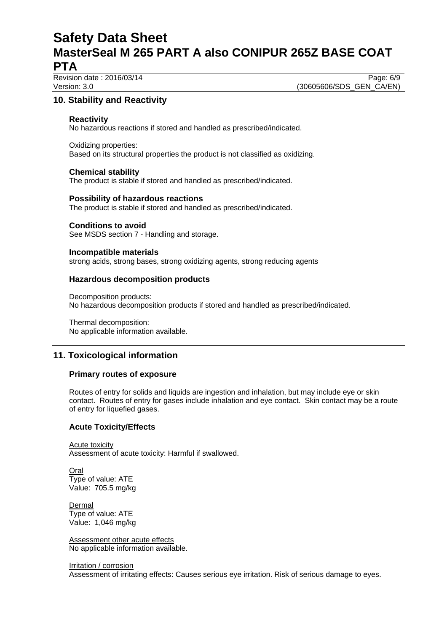Revision date : 2016/03/14 Page: 6/9

Version: 3.0 **(30605606/SDS\_GEN\_CA/EN)** 

# **10. Stability and Reactivity**

### **Reactivity**

No hazardous reactions if stored and handled as prescribed/indicated.

Oxidizing properties: Based on its structural properties the product is not classified as oxidizing.

### **Chemical stability**

The product is stable if stored and handled as prescribed/indicated.

### **Possibility of hazardous reactions**

The product is stable if stored and handled as prescribed/indicated.

### **Conditions to avoid**

See MSDS section 7 - Handling and storage.

### **Incompatible materials**

strong acids, strong bases, strong oxidizing agents, strong reducing agents

### **Hazardous decomposition products**

Decomposition products: No hazardous decomposition products if stored and handled as prescribed/indicated.

Thermal decomposition: No applicable information available.

# **11. Toxicological information**

### **Primary routes of exposure**

Routes of entry for solids and liquids are ingestion and inhalation, but may include eye or skin contact. Routes of entry for gases include inhalation and eye contact. Skin contact may be a route of entry for liquefied gases.

### **Acute Toxicity/Effects**

Acute toxicity Assessment of acute toxicity: Harmful if swallowed.

Oral Type of value: ATE Value: 705.5 mg/kg

Dermal Type of value: ATE Value: 1,046 mg/kg

Assessment other acute effects No applicable information available.

Irritation / corrosion Assessment of irritating effects: Causes serious eye irritation. Risk of serious damage to eyes.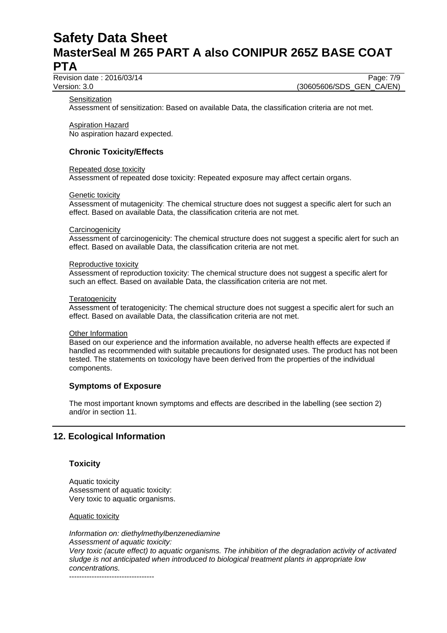Revision date : 2016/03/14 Page: 7/9

Version: 3.0 **(30605606/SDS\_GEN\_CA/EN)** 

**Sensitization** 

Assessment of sensitization: Based on available Data, the classification criteria are not met.

Aspiration Hazard

No aspiration hazard expected.

# **Chronic Toxicity/Effects**

#### Repeated dose toxicity

Assessment of repeated dose toxicity: Repeated exposure may affect certain organs.

#### Genetic toxicity

Assessment of mutagenicity: The chemical structure does not suggest a specific alert for such an effect. Based on available Data, the classification criteria are not met.

#### **Carcinogenicity**

Assessment of carcinogenicity: The chemical structure does not suggest a specific alert for such an effect. Based on available Data, the classification criteria are not met.

#### Reproductive toxicity

Assessment of reproduction toxicity: The chemical structure does not suggest a specific alert for such an effect. Based on available Data, the classification criteria are not met.

#### **Teratogenicity**

Assessment of teratogenicity: The chemical structure does not suggest a specific alert for such an effect. Based on available Data, the classification criteria are not met.

#### Other Information

Based on our experience and the information available, no adverse health effects are expected if handled as recommended with suitable precautions for designated uses. The product has not been tested. The statements on toxicology have been derived from the properties of the individual components.

### **Symptoms of Exposure**

The most important known symptoms and effects are described in the labelling (see section 2) and/or in section 11.

# **12. Ecological Information**

### **Toxicity**

Aquatic toxicity Assessment of aquatic toxicity: Very toxic to aquatic organisms.

### Aquatic toxicity

*Information on: diethylmethylbenzenediamine Assessment of aquatic toxicity: Very toxic (acute effect) to aquatic organisms. The inhibition of the degradation activity of activated sludge is not anticipated when introduced to biological treatment plants in appropriate low concentrations.*

----------------------------------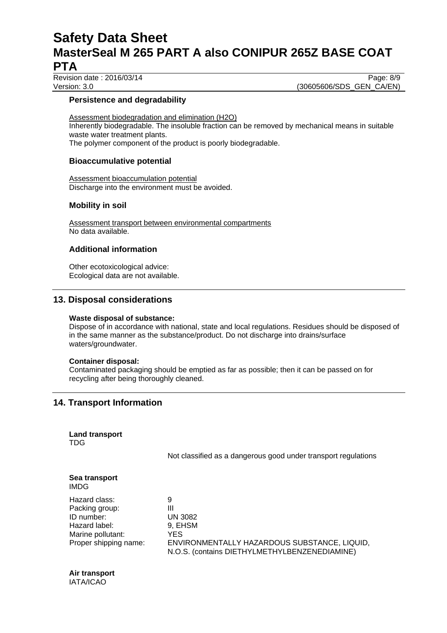Revision date : 2016/03/14 Page: 8/9

Version: 3.0 **(30605606/SDS\_GEN\_CA/EN)** 

### **Persistence and degradability**

Assessment biodegradation and elimination (H2O) Inherently biodegradable. The insoluble fraction can be removed by mechanical means in suitable waste water treatment plants. The polymer component of the product is poorly biodegradable.

### **Bioaccumulative potential**

Assessment bioaccumulation potential Discharge into the environment must be avoided.

## **Mobility in soil**

Assessment transport between environmental compartments No data available.

## **Additional information**

Other ecotoxicological advice: Ecological data are not available.

# **13. Disposal considerations**

### **Waste disposal of substance:**

Dispose of in accordance with national, state and local regulations. Residues should be disposed of in the same manner as the substance/product. Do not discharge into drains/surface waters/groundwater.

### **Container disposal:**

Contaminated packaging should be emptied as far as possible; then it can be passed on for recycling after being thoroughly cleaned.

# **14. Transport Information**

|     | <b>Land transport</b> |
|-----|-----------------------|
| TDG |                       |

Not classified as a dangerous good under transport regulations

| Sea transport<br><b>IMDG</b> |                                                                                               |
|------------------------------|-----------------------------------------------------------------------------------------------|
| Hazard class:                | 9                                                                                             |
| Packing group:               | Ш                                                                                             |
| ID number:                   | <b>UN 3082</b>                                                                                |
| Hazard label:                | 9, EHSM                                                                                       |
| Marine pollutant:            | YES                                                                                           |
| Proper shipping name:        | ENVIRONMENTALLY HAZARDOUS SUBSTANCE, LIQUID,<br>N.O.S. (contains DIETHYLMETHYLBENZENEDIAMINE) |

**Air transport** IATA/ICAO